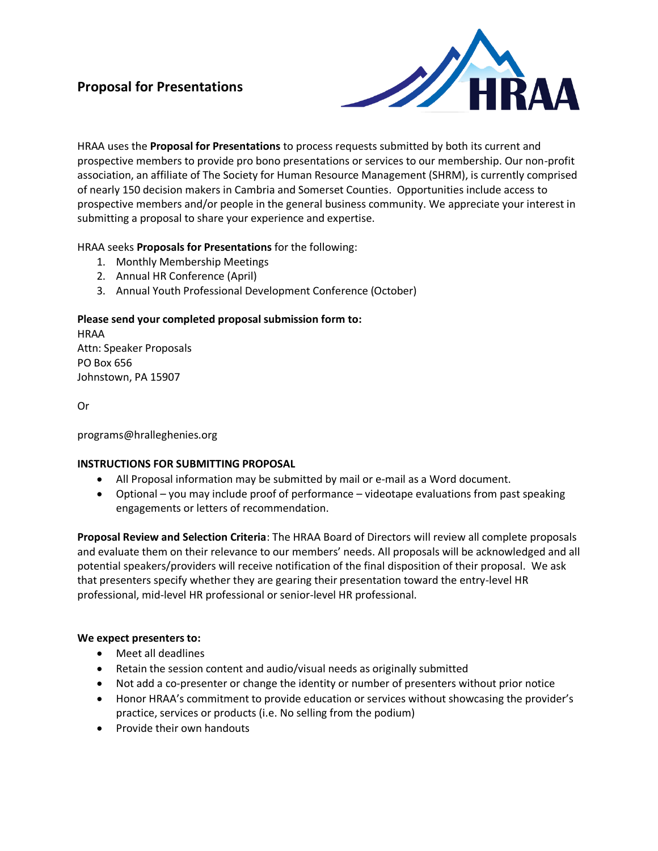# **Proposal for Presentations**



HRAA uses the **Proposal for Presentations** to process requests submitted by both its current and prospective members to provide pro bono presentations or services to our membership. Our non-profit association, an affiliate of The Society for Human Resource Management (SHRM), is currently comprised of nearly 150 decision makers in Cambria and Somerset Counties. Opportunities include access to prospective members and/or people in the general business community. We appreciate your interest in submitting a proposal to share your experience and expertise.

## HRAA seeks **Proposals for Presentations** for the following:

- 1. Monthly Membership Meetings
- 2. Annual HR Conference (April)
- 3. Annual Youth Professional Development Conference (October)

## **Please send your completed proposal submission form to:**

HRAA Attn: Speaker Proposals PO Box 656 Johnstown, PA 15907

Or

programs@hralleghenies.org

## **INSTRUCTIONS FOR SUBMITTING PROPOSAL**

- All Proposal information may be submitted by mail or e-mail as a Word document.
- Optional you may include proof of performance videotape evaluations from past speaking engagements or letters of recommendation.

**Proposal Review and Selection Criteria**: The HRAA Board of Directors will review all complete proposals and evaluate them on their relevance to our members' needs. All proposals will be acknowledged and all potential speakers/providers will receive notification of the final disposition of their proposal. We ask that presenters specify whether they are gearing their presentation toward the entry-level HR professional, mid-level HR professional or senior-level HR professional.

### **We expect presenters to:**

- Meet all deadlines
- Retain the session content and audio/visual needs as originally submitted
- Not add a co-presenter or change the identity or number of presenters without prior notice
- Honor HRAA's commitment to provide education or services without showcasing the provider's practice, services or products (i.e. No selling from the podium)
- Provide their own handouts